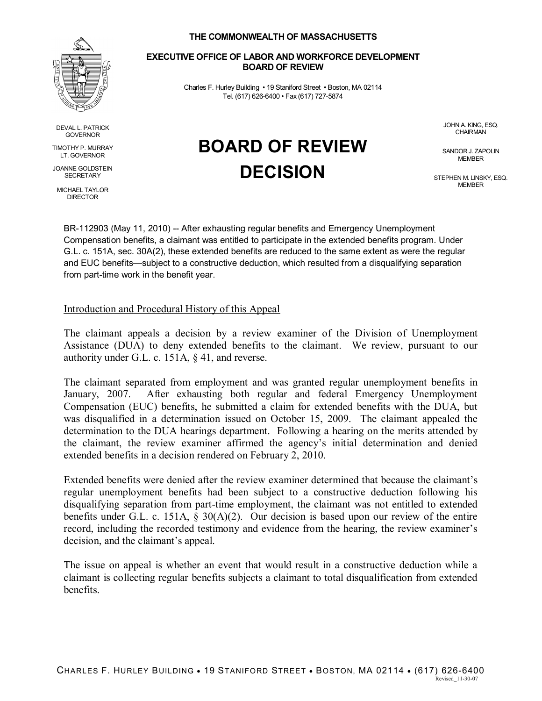

DEVAL L. PATRICK GOVERNOR

TIMOTHY P. MURRAY LT. GOVERNOR

JOANNE GOLDSTEIN **SECRETARY** 

MICHAEL TAYLOR DIRECTOR

### **THE COMMONWEALTH OF MASSACHUSETTS**

### **EXECUTIVE OFFICE OF LABOR AND WORKFORCE DEVELOPMENT BOARD OF REVIEW**

Charles F. Hurley Building • 19 Staniford Street • Boston, MA 02114 Tel. (617) 626-6400 • Fax (617) 727-5874

**BOARD OF REVIEW**

**DECISION**

JOHN A. KING, ESQ. **CHAIRMAN** 

SANDOR J. ZAPOLIN MEMBER

STEPHEN M. LINSKY, ESQ. MEMBER

BR-112903 (May 11, 2010) -- After exhausting regular benefits and Emergency Unemployment Compensation benefits, a claimant was entitled to participate in the extended benefits program. Under G.L. c. 151A, sec. 30A(2), these extended benefits are reduced to the same extent as were the regular and EUC benefits—subject to a constructive deduction, which resulted from a disqualifying separation from part-time work in the benefit year.

# Introduction and Procedural History of this Appeal

The claimant appeals a decision by a review examiner of the Division of Unemployment Assistance (DUA) to deny extended benefits to the claimant. We review, pursuant to our authority under G.L. c. 151A, § 41, and reverse.

The claimant separated from employment and was granted regular unemployment benefits in January, 2007. After exhausting both regular and federal Emergency Unemployment Compensation (EUC) benefits, he submitted a claim for extended benefits with the DUA, but was disqualified in a determination issued on October 15, 2009. The claimant appealed the determination to the DUA hearings department. Following a hearing on the merits attended by the claimant, the review examiner affirmed the agency's initial determination and denied extended benefits in a decision rendered on February 2, 2010.

Extended benefits were denied after the review examiner determined that because the claimant's regular unemployment benefits had been subject to a constructive deduction following his disqualifying separation from part-time employment, the claimant was not entitled to extended benefits under G.L. c. 151A, § 30(A)(2). Our decision is based upon our review of the entire record, including the recorded testimony and evidence from the hearing, the review examiner's decision, and the claimant's appeal.

The issue on appeal is whether an event that would result in a constructive deduction while a claimant is collecting regular benefits subjects a claimant to total disqualification from extended benefits.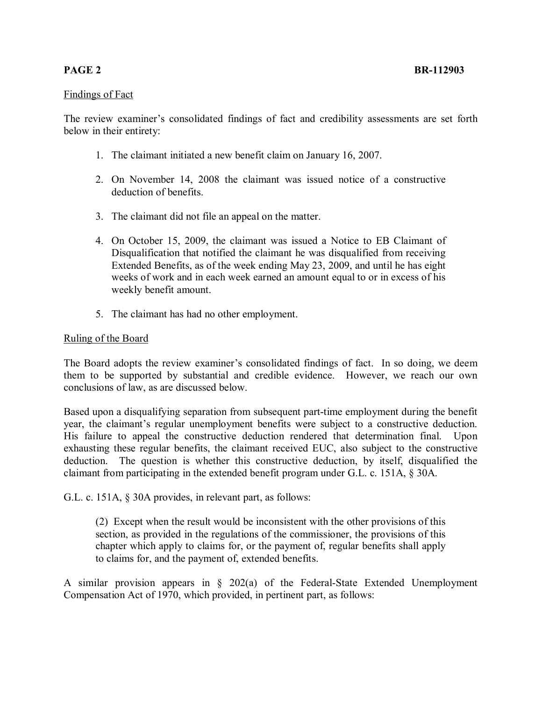# Findings of Fact

The review examiner's consolidated findings of fact and credibility assessments are set forth below in their entirety:

- 1. The claimant initiated a new benefit claim on January 16, 2007.
- 2. On November 14, 2008 the claimant was issued notice of a constructive deduction of benefits.
- 3. The claimant did not file an appeal on the matter.
- 4. On October 15, 2009, the claimant was issued a Notice to EB Claimant of Disqualification that notified the claimant he was disqualified from receiving Extended Benefits, as of the week ending May 23, 2009, and until he has eight weeks of work and in each week earned an amount equal to or in excess of his weekly benefit amount.
- 5. The claimant has had no other employment.

## Ruling of the Board

The Board adopts the review examiner's consolidated findings of fact. In so doing, we deem them to be supported by substantial and credible evidence. However, we reach our own conclusions of law, as are discussed below.

Based upon a disqualifying separation from subsequent part-time employment during the benefit year, the claimant's regular unemployment benefits were subject to a constructive deduction. His failure to appeal the constructive deduction rendered that determination final. Upon exhausting these regular benefits, the claimant received EUC, also subject to the constructive deduction. The question is whether this constructive deduction, by itself, disqualified the claimant from participating in the extended benefit program under G.L. c. 151A, § 30A.

G.L. c. 151A, § 30A provides, in relevant part, as follows:

(2) Except when the result would be inconsistent with the other provisions of this section, as provided in the regulations of the commissioner, the provisions of this chapter which apply to claims for, or the payment of, regular benefits shall apply to claims for, and the payment of, extended benefits.

A similar provision appears in § 202(a) of the Federal-State Extended Unemployment Compensation Act of 1970, which provided, in pertinent part, as follows: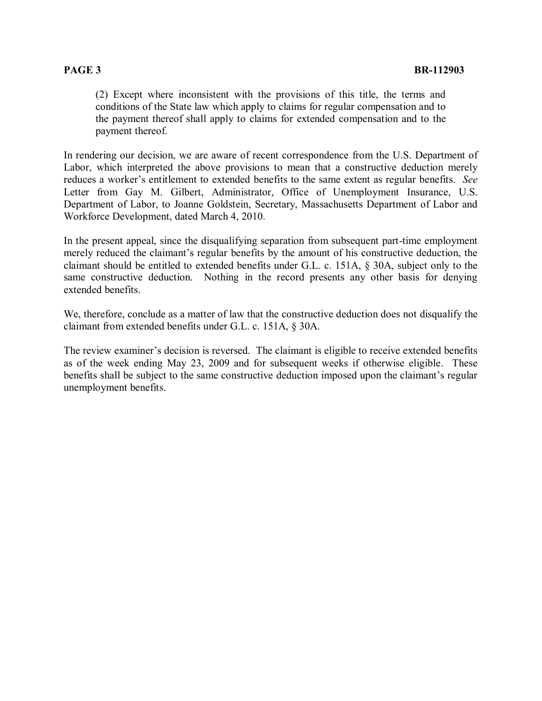(2) Except where inconsistent with the provisions of this title, the terms and conditions of the State law which apply to claims for regular compensation and to the payment thereof shall apply to claims for extended compensation and to the payment thereof.

In rendering our decision, we are aware of recent correspondence from the U.S. Department of Labor, which interpreted the above provisions to mean that a constructive deduction merely reduces a worker's entitlement to extended benefits to the same extent as regular benefits. *See* Letter from Gay M. Gilbert, Administrator, Office of Unemployment Insurance, U.S. Department of Labor, to Joanne Goldstein, Secretary, Massachusetts Department of Labor and Workforce Development, dated March 4, 2010.

In the present appeal, since the disqualifying separation from subsequent part-time employment merely reduced the claimant's regular benefits by the amount of his constructive deduction, the claimant should be entitled to extended benefits under G.L. c. 151A, § 30A, subject only to the same constructive deduction. Nothing in the record presents any other basis for denying extended benefits.

We, therefore, conclude as a matter of law that the constructive deduction does not disqualify the claimant from extended benefits under G.L. c. 151A, § 30A.

The review examiner's decision is reversed. The claimant is eligible to receive extended benefits as of the week ending May 23, 2009 and for subsequent weeks if otherwise eligible. These benefits shall be subject to the same constructive deduction imposed upon the claimant's regular unemployment benefits.